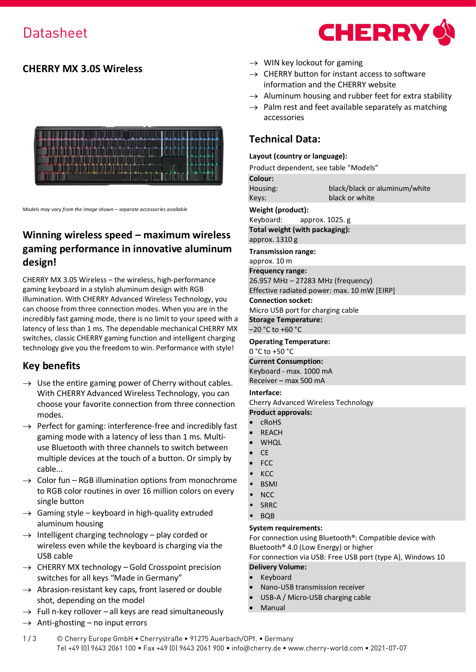# **CHERRY MX 3.0S Wireless**



*Models may vary from the image shown – separate accessories available* 

# **Winning wireless speed – maximum wireless gaming performance in innovative aluminum design!**

CHERRY MX 3.0S Wireless – the wireless, high-performance gaming keyboard in a stylish aluminum design with RGB illumination. With CHERRY Advanced Wireless Technology, you can choose from three connection modes. When you are in the incredibly fast gaming mode, there is no limit to your speed with a latency of less than 1 ms. The dependable mechanical CHERRY MX switches, classic CHERRY gaming function and intelligent charging technology give you the freedom to win. Performance with style!

# **Key benefits**

- $\rightarrow$  Use the entire gaming power of Cherry without cables. With CHERRY Advanced Wireless Technology, you can choose your favorite connection from three connection modes.
- $\rightarrow$  Perfect for gaming: interference-free and incredibly fast gaming mode with a latency of less than 1 ms. Multiuse Bluetooth with three channels to switch between multiple devices at the touch of a button. Or simply by cable...
- $\rightarrow$  Color fun RGB illumination options from monochrome to RGB color routines in over 16 million colors on every single button
- $\rightarrow$  Gaming style keyboard in high-quality extruded aluminum housing
- $\rightarrow$  Intelligent charging technology play corded or wireless even while the keyboard is charging via the USB cable
- $\rightarrow$  CHERRY MX technology Gold Crosspoint precision switches for all keys "Made in Germany"
- $\rightarrow$  Abrasion-resistant key caps, front lasered or double shot, depending on the model
- $\rightarrow$  Full n-key rollover all keys are read simultaneously
- $\rightarrow$  Anti-ghosting no input errors



- $\rightarrow$  WIN key lockout for gaming
- $\rightarrow$  CHERRY button for instant access to software information and the CHERRY website
- $\rightarrow$  Aluminum housing and rubber feet for extra stability
- $\rightarrow$  Palm rest and feet available separately as matching accessories

## **Technical Data:**

### **Layout (country or language):**

Product dependent, see table "Models"

|                                             | Product dependent, see table "Models" |  |  |  |  |  |  |  |  |
|---------------------------------------------|---------------------------------------|--|--|--|--|--|--|--|--|
| Colour:                                     |                                       |  |  |  |  |  |  |  |  |
| Housing:                                    | black/black or aluminum/white         |  |  |  |  |  |  |  |  |
| Keys:                                       | black or white                        |  |  |  |  |  |  |  |  |
| Weight (product):                           |                                       |  |  |  |  |  |  |  |  |
|                                             | Keyboard: $approx. 1025. g$           |  |  |  |  |  |  |  |  |
|                                             | Total weight (with packaging):        |  |  |  |  |  |  |  |  |
| approx. 1310 g                              |                                       |  |  |  |  |  |  |  |  |
| <b>Transmission range:</b>                  |                                       |  |  |  |  |  |  |  |  |
| approx. 10 m                                |                                       |  |  |  |  |  |  |  |  |
| <b>Frequency range:</b>                     |                                       |  |  |  |  |  |  |  |  |
| 26.957 MHz - 27283 MHz (frequency)          |                                       |  |  |  |  |  |  |  |  |
| Effective radiated power: max. 10 mW [EIRP] |                                       |  |  |  |  |  |  |  |  |
| <b>Connection socket:</b>                   |                                       |  |  |  |  |  |  |  |  |
|                                             | Micro USB port for charging cable     |  |  |  |  |  |  |  |  |
| <b>Storage Temperature:</b>                 |                                       |  |  |  |  |  |  |  |  |
| $-20$ °C to +60 °C                          |                                       |  |  |  |  |  |  |  |  |
| <b>Operating Temperature:</b>               |                                       |  |  |  |  |  |  |  |  |
| $0 °C$ to +50 $°C$                          |                                       |  |  |  |  |  |  |  |  |
| <b>Current Consumption:</b>                 |                                       |  |  |  |  |  |  |  |  |
| Keyboard - max. 1000 mA                     |                                       |  |  |  |  |  |  |  |  |
| Receiver - max 500 mA                       |                                       |  |  |  |  |  |  |  |  |
| Interface:                                  |                                       |  |  |  |  |  |  |  |  |

Cherry Advanced Wireless Technology

## **Product approvals:**

- cRoHS
- **REACH**
- WHQL
- $\cap$
- FCC
- KCC
- **BSMI**
- NCC
- SRRC
- BQB

### **System requirements:**

For connection using Bluetooth®: Compatible device with Bluetooth® 4.0 (Low Energy) or higher

For connection via USB: Free USB port (type A), Windows 10 **Delivery Volume:**

- **Keyboard**
- Nano-USB transmission receiver
- USB-A / Micro-USB charging cable
- **Manual**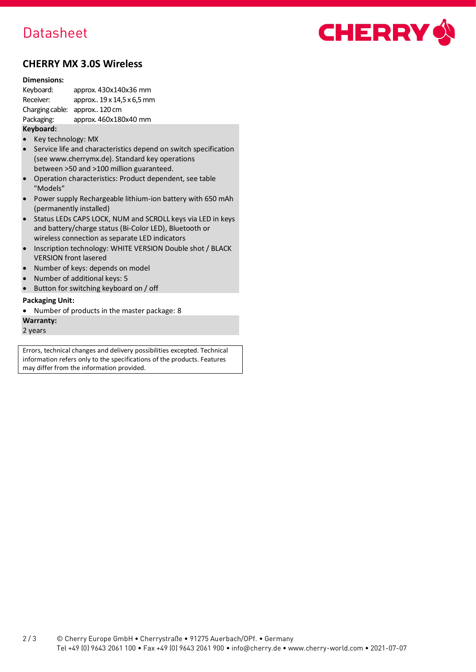# Datasheet



## **CHERRY MX 3.0S Wireless**

#### **Dimensions:**

Keyboard: approx. 430x140x36 mm<br>Receiver: approx.. 19 x 14,5 x 6,5 mn approx.. 19 x 14,5 x 6,5 mm Charging cable: approx.. 120 cm Packaging: approx. 460x180x40 mm

### **Keyboard:**

- Key technology: MX
- Service life and characteristics depend on switch specification (see www.cherrymx.de). Standard key operations between >50 and >100 million guaranteed.
- Operation characteristics: Product dependent, see table "Models"
- Power supply Rechargeable lithium-ion battery with 650 mAh (permanently installed)
- Status LEDs CAPS LOCK, NUM and SCROLL keys via LED in keys and battery/charge status (Bi-Color LED), Bluetooth or wireless connection as separate LED indicators
- Inscription technology: WHITE VERSION Double shot / BLACK VERSION front lasered
- Number of keys: depends on model
- Number of additional keys: 5
- Button for switching keyboard on / off

### **Packaging Unit:**

• Number of products in the master package: 8

**Warranty:**

2 years

Errors, technical changes and delivery possibilities excepted. Technical information refers only to the specifications of the products. Features may differ from the information provided.